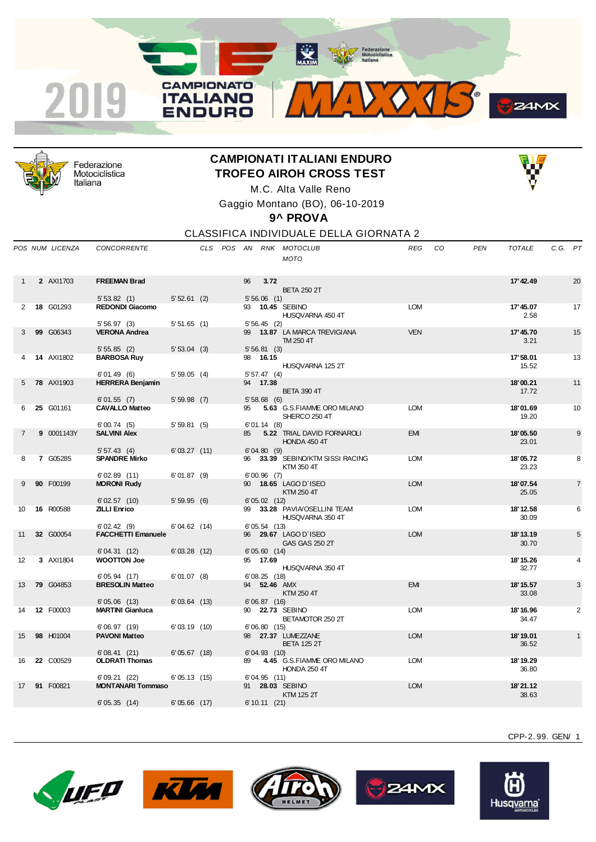



Federazione Motociclistica Italiana

## **CAMPIONATI ITALIANI ENDURO TROFEO AIROH CROSS TEST** M.C. Alta Valle Reno



Gaggio Montano (BO), 06-10-2019

**9^ PROVA**

CLASSIFICA INDIVIDUALE DELLA GIORNATA 2

|                | POS NUM LICENZA   | <b>CONCORRENTE</b>                    |                |  |    |                        | CLS POS AN RNK MOTOCLUB<br><b>MOTO</b>            | REG        | CO. | <b>PEN</b> | <b>TOTALE</b>      | C.G. PT |                |
|----------------|-------------------|---------------------------------------|----------------|--|----|------------------------|---------------------------------------------------|------------|-----|------------|--------------------|---------|----------------|
|                | 2 AXI1703         | <b>FREEMAN Brad</b>                   |                |  | 96 | 3.72                   |                                                   |            |     |            | 17' 42.49          |         | 20             |
|                |                   |                                       |                |  |    |                        | <b>BETA 250 2T</b>                                |            |     |            |                    |         |                |
|                |                   | 5'53.82(1)                            | $5'52.61$ (2)  |  |    | $5'56.06$ (1)          |                                                   |            |     |            |                    |         |                |
| $\overline{2}$ | 18 G01293         | <b>REDONDI Giacomo</b>                |                |  |    |                        | 93 10.45 SEBINO<br>HUSQVARNA 450 4T               | <b>LOM</b> |     |            | 17' 45.07<br>2.58  |         | 17             |
|                |                   | 5'56.97(3)                            | 5'51.65(1)     |  |    | 5'56.45(2)             |                                                   |            |     |            |                    |         |                |
| 3              | 99 G06343         | <b>VERONA Andrea</b>                  |                |  |    |                        | 99 13.87 LA MARCA TREVIGIANA<br>TM 250 4T         | <b>VEN</b> |     |            | 17' 45.70<br>3.21  |         | 15             |
|                |                   | 5'55.85(2)                            | $5'53.04$ (3)  |  |    | 5'56.81(3)             |                                                   |            |     |            |                    |         |                |
|                | <b>14 AXI1802</b> | <b>BARBOSA Ruy</b>                    |                |  |    | 98 16.15               |                                                   |            |     |            | 17' 58.01          |         | 13             |
|                |                   |                                       |                |  |    |                        | HUSQVARNA 125 2T                                  |            |     |            | 15.52              |         |                |
| 5              | <b>78 AXI1903</b> | 6'01.49(6)<br><b>HERRERA Benjamin</b> | 5'59.05(4)     |  |    | 5'57.47(4)<br>94 17.38 |                                                   |            |     |            | 18'00.21           |         | 11             |
|                |                   |                                       |                |  |    |                        | <b>BETA 390 4T</b>                                |            |     |            | 17.72              |         |                |
|                |                   | 6'01.55(7)                            | $5'59.98$ (7)  |  |    | 5'58.68(6)             |                                                   |            |     |            |                    |         |                |
| 6              | 25 G01161         | <b>CAVALLO Matteo</b>                 |                |  | 95 |                        | 5.63 G.S.FIAMME ORO MILANO                        | <b>LOM</b> |     |            | 18'01.69           |         | 10             |
|                |                   |                                       |                |  |    |                        | SHERCO 250 4T                                     |            |     |            | 19.20              |         |                |
|                |                   | 6'00.74(5)                            | 5'59.81(5)     |  |    | 6'01.14(8)             |                                                   |            |     |            |                    |         |                |
| $\overline{7}$ | 9 0001143Y        | <b>SALVINI Alex</b>                   |                |  | 85 |                        | 5.22 TRIAL DAVID FORNAROLI<br>HONDA 450 4T        | <b>EMI</b> |     |            | 18'05.50<br>23.01  |         | 9              |
|                |                   | 5'57.43(4)                            | 6'03.27(11)    |  |    | 6'04.80(9)             |                                                   |            |     |            |                    |         |                |
| 8              | 7 G05285          | <b>SPANDRE Mirko</b>                  |                |  | 96 |                        | 33.39 SEBINO/KTM SISSI RACING                     | <b>LOM</b> |     |            | 18'05.72           |         | 8              |
|                |                   |                                       |                |  |    |                        | KTM 350 4T                                        |            |     |            | 23.23              |         |                |
|                |                   | 6'02.89(11)                           | $6' 01.87$ (9) |  |    | $6'00.96$ (7)          |                                                   |            |     |            |                    |         |                |
| 9              | 90 F00199         | <b>MORONI Rudy</b>                    |                |  |    |                        | 90 18.65 LAGO D'ISEO<br>KTM 250 4T                | <b>LOM</b> |     |            | 18'07.54<br>25.05  |         | $\overline{7}$ |
| 10             | 16 R00588         | 6'02.57(10)<br><b>ZILLI Enrico</b>    | 5'59.95(6)     |  | 99 | 6'05.02(12)            | 33.28 PAVIA/OSELLINI TEAM                         | <b>LOM</b> |     |            | 18'12.58           |         | 6              |
|                |                   |                                       |                |  |    |                        | HUSQVARNA 350 4T                                  |            |     |            | 30.09              |         |                |
|                |                   | 6'02.42(9)                            | 6'04.62(14)    |  |    | 6'05.54(13)            |                                                   |            |     |            |                    |         |                |
| 11             | 32 G00054         | <b>FACCHETTI Emanuele</b>             |                |  |    |                        | 96 29.67 LAGO D'ISEO<br><b>GAS GAS 250 2T</b>     | <b>LOM</b> |     |            | 18' 13.19<br>30.70 |         | 5              |
|                |                   | 6'04.31(12)                           | 6'03.28(12)    |  |    | 6'05.60(14)            |                                                   |            |     |            |                    |         |                |
| 12             | 3 AXI1804         | <b>WOOTTON Joe</b>                    |                |  |    | 95 17.69               |                                                   |            |     |            | 18' 15.26          |         | 4              |
|                |                   |                                       |                |  |    |                        | HUSQVARNA 350 4T                                  |            |     |            | 32.77              |         |                |
|                |                   | 6'05.94(17)                           | $6' 01.07$ (8) |  |    | 6'08.25(18)            |                                                   |            |     |            |                    |         |                |
| 13             | <b>79 G04853</b>  | <b>BRESOLIN Matteo</b>                |                |  |    | 94 52.46 AMX           |                                                   | <b>EMI</b> |     |            | 18' 15.57          |         | 3              |
|                |                   | 6'05.06(13)                           | 6'03.64(13)    |  |    | 6'06.87(16)            | KTM 250 4T                                        |            |     |            | 33.08              |         |                |
| 14             | 12 F00003         | <b>MARTINI Gianluca</b>               |                |  |    |                        | 90 22.73 SEBINO                                   | <b>LOM</b> |     |            | 18' 16.96          |         | 2              |
|                |                   |                                       |                |  |    |                        | BETAMOTOR 250 2T                                  |            |     |            | 34.47              |         |                |
|                |                   | 6'06.97(19)                           | 6'03.19(10)    |  |    | 6'06.80(15)            |                                                   |            |     |            |                    |         |                |
| 15             | 98 H01004         | <b>PAVONI Matteo</b>                  |                |  |    |                        | 98 27.37 LUMEZZANE<br><b>BETA 125 2T</b>          | <b>LOM</b> |     |            | 18' 19.01<br>36.52 |         | $\mathbf{1}$   |
|                |                   | 6'08.41(21)                           | 6'05.67(18)    |  |    | 6'04.93(10)            |                                                   |            |     |            |                    |         |                |
| 16             | 22 C00529         | <b>OLDRATI Thomas</b>                 |                |  | 89 |                        | 4.45 G.S.FIAMME ORO MILANO<br><b>HONDA 250 4T</b> | <b>LOM</b> |     |            | 18'19.29<br>36.80  |         |                |
|                |                   | 6'09.21 (22)                          | 6'05.13(15)    |  |    | 6'04.95 (11)           |                                                   |            |     |            |                    |         |                |
| 17             | 91 F00821         | <b>MONTANARI Tommaso</b>              |                |  |    |                        | 91 28.03 SEBINO<br>KTM 125 2T                     | <b>LOM</b> |     |            | 18'21.12<br>38.63  |         |                |
|                |                   | 6'05.35(14)                           | 6'05.66(17)    |  |    | 6' 10.11 (21)          |                                                   |            |     |            |                    |         |                |
|                |                   |                                       |                |  |    |                        |                                                   |            |     |            |                    |         |                |









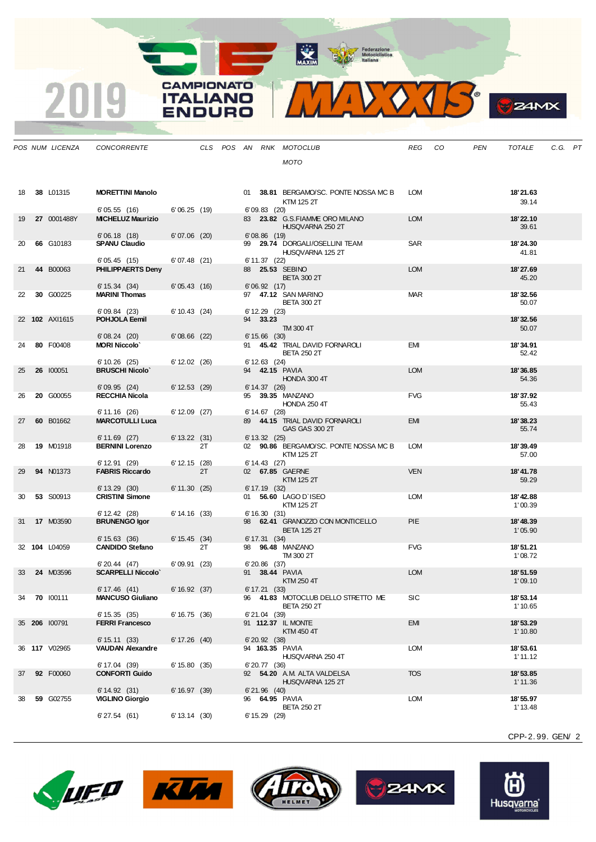MAXIM BOOR Motociclistica



| . .<br>۳ |
|----------|
|          |

|    | POS NUM LICENZA  | CONCORRENTE                             |                 |    |  |                   | CLS POS AN RNK MOTOCLUB                          | REG        | - CO | PEN | TOTALE                | C.G. PT |  |
|----|------------------|-----------------------------------------|-----------------|----|--|-------------------|--------------------------------------------------|------------|------|-----|-----------------------|---------|--|
|    |                  |                                         |                 |    |  |                   | <b>MOTO</b>                                      |            |      |     |                       |         |  |
|    |                  |                                         |                 |    |  |                   |                                                  |            |      |     |                       |         |  |
|    |                  |                                         |                 |    |  |                   |                                                  |            |      |     |                       |         |  |
| 18 | 38 L01315        | <b>MORETTINI Manolo</b>                 |                 |    |  |                   | 01 38.81 BERGAMO/SC. PONTE NOSSA MC B            | LOM        |      |     | 18'21.63              |         |  |
|    |                  |                                         |                 |    |  |                   | KTM 125 2T                                       |            |      |     | 39.14                 |         |  |
| 19 | 27 0001488Y      | 6'05.55(16)<br><b>MICHELUZ Maurizio</b> | 6'06.25(19)     |    |  | 6'09.83(20)       | 83 23.82 G.S.FIAMME ORO MILANO                   | <b>LOM</b> |      |     | 18'22.10              |         |  |
|    |                  |                                         |                 |    |  |                   | HUSQVARNA 250 2T                                 |            |      |     | 39.61                 |         |  |
|    |                  | 6'06.18(18)                             | $6'07.06$ (20)  |    |  | $6'08.86$ (19)    |                                                  |            |      |     |                       |         |  |
| 20 | 66 G10183        | <b>SPANU Claudio</b>                    |                 |    |  |                   | 99 29.74 DORGALI/OSELLINI TEAM                   | SAR        |      |     | 18'24.30              |         |  |
|    |                  | 6'05.45(15)                             | 6'07.48(21)     |    |  | 6' 11.37 (22)     | HUSQVARNA 125 2T                                 |            |      |     | 41.81                 |         |  |
| 21 | 44 B00063        | PHILIPPAERTS Denv                       |                 |    |  |                   | 88 25.53 SEBINO                                  | <b>LOM</b> |      |     | 18'27.69              |         |  |
|    |                  |                                         |                 |    |  |                   | <b>BETA 300 2T</b>                               |            |      |     | 45.20                 |         |  |
|    |                  | 6' 15.34 (34)                           | 6'05.43(16)     |    |  | 6'06.92(17)       |                                                  |            |      |     |                       |         |  |
| 22 | 30 G00225        | <b>MARINI Thomas</b>                    |                 |    |  |                   | 97 47.12 SAN MARINO<br><b>BETA 300 2T</b>        | <b>MAR</b> |      |     | 18'32.56<br>50.07     |         |  |
|    |                  | 6'09.84(23)                             | $6' 10.43$ (24) |    |  | $6' 12.29$ (23)   |                                                  |            |      |     |                       |         |  |
|    | 22 102 AXI1615   | POHJOLA Eemil                           |                 |    |  | 94 33.23          |                                                  |            |      |     | 18'32.56              |         |  |
|    |                  |                                         |                 |    |  |                   | TM 300 4T                                        |            |      |     | 50.07                 |         |  |
| 24 | 80 F00408        | 6'08.24(20)<br><b>MORI Niccolo'</b>     | $6'08.66$ (22)  |    |  | $6' 15.66$ (30)   | 91 45.42 TRIAL DAVID FORNAROLI                   | <b>EMI</b> |      |     | 18'34.91              |         |  |
|    |                  |                                         |                 |    |  |                   | <b>BETA 250 2T</b>                               |            |      |     | 52.42                 |         |  |
|    |                  | 6'10.26(25)                             | $6' 12.02$ (26) |    |  | $6' 12.63$ (24)   |                                                  |            |      |     |                       |         |  |
| 25 | 26 100051        | <b>BRUSCHI Nicolo'</b>                  |                 |    |  |                   | 94 <b>42.15 PAVIA</b>                            | <b>LOM</b> |      |     | 18'36.85              |         |  |
|    |                  | 6'09.95(24)                             | $6' 12.53$ (29) |    |  | $6' 14.37$ (26)   | HONDA 300 4T                                     |            |      |     | 54.36                 |         |  |
| 26 | 20 G00055        | <b>RECCHIA Nicola</b>                   |                 |    |  |                   | 95 39.35 MANZANO                                 | <b>FVG</b> |      |     | 18'37.92              |         |  |
|    |                  |                                         |                 |    |  |                   | <b>HONDA 250 4T</b>                              |            |      |     | 55.43                 |         |  |
|    |                  | 6' 11.16 (26)                           | $6' 12.09$ (27) |    |  | $6' 14.67$ (28)   |                                                  |            |      |     |                       |         |  |
| 27 | 60 B01662        | <b>MARCOTULLI Luca</b>                  |                 |    |  |                   | 89 44.15 TRIAL DAVID FORNAROLI<br>GAS GAS 300 2T | <b>EMI</b> |      |     | 18'38.23<br>55.74     |         |  |
|    |                  | 6'11.69(27)                             | $6' 13.22$ (31) |    |  | $6' 13.32$ (25)   |                                                  |            |      |     |                       |         |  |
| 28 | 19 M01918        | <b>BERNINI Lorenzo</b>                  |                 | 2T |  |                   | 02 90.86 BERGAMO/SC. PONTE NOSSA MC B            | <b>LOM</b> |      |     | 18'39.49              |         |  |
|    |                  |                                         |                 |    |  |                   | KTM 125 2T                                       |            |      |     | 57.00                 |         |  |
| 29 | <b>94 N01373</b> | 6' 12.91 (29)<br><b>FABRIS Riccardo</b> | 6' 12.15 (28)   | 2T |  | $6' 14.43$ (27)   | 02 67.85 GAERNE                                  | <b>VEN</b> |      |     | 18'41.78              |         |  |
|    |                  |                                         |                 |    |  |                   | KTM 125 2T                                       |            |      |     | 59.29                 |         |  |
|    |                  | $6' 13.29$ (30)                         | 6' 11.30 (25)   |    |  | $6' 17.19$ (32)   |                                                  |            |      |     |                       |         |  |
| 30 | 53 S00913        | <b>CRISTINI Simone</b>                  |                 |    |  |                   | 01 56.60 LAGO D'ISEO<br>KTM 125 2T               | <b>LOM</b> |      |     | 18' 42.88<br>1'00.39  |         |  |
|    |                  | $6' 12.42$ (28)                         | 6' 14.16 (33)   |    |  | 6'16.30(31)       |                                                  |            |      |     |                       |         |  |
| 31 | 17 M03590        | <b>BRUNENGO Igor</b>                    |                 |    |  |                   | 98 62.41 GRANOZZO CON MONTICELLO                 | <b>PIE</b> |      |     | 18'48.39              |         |  |
|    |                  |                                         |                 |    |  |                   | <b>BETA 125 2T</b>                               |            |      |     | 1'05.90               |         |  |
|    | 32 104 L04059    | 6' 15.63 (36)<br><b>CANDIDO Stefano</b> | 6' 15.45 (34)   | 2T |  | 6' 17.31 (34)     | 98 96.48 MANZANO                                 | <b>FVG</b> |      |     | 18'51.21              |         |  |
|    |                  |                                         |                 |    |  |                   | TM 300 2T                                        |            |      |     | 1'08.72               |         |  |
|    |                  | 6'20.44(47)                             | 6'09.91(23)     |    |  | 6'20.86 (37)      |                                                  |            |      |     |                       |         |  |
| 33 | 24 M03596        | <b>SCARPELLI Niccolo'</b>               |                 |    |  |                   | 91 38.44 PAVIA                                   | <b>LOM</b> |      |     | 18'51.59              |         |  |
|    |                  | 6' 17.46 (41)                           | 6' 16.92 (37)   |    |  | 6' 17.21 (33)     | KTM 250 4T                                       |            |      |     | 1'09.10               |         |  |
| 34 | <b>70</b> 100111 | <b>MANCUSO Giuliano</b>                 |                 |    |  |                   | 96 41.83 MOTOCLUB DELLO STRETTO ME               | <b>SIC</b> |      |     | 18'53.14              |         |  |
|    |                  |                                         |                 |    |  |                   | <b>BETA 250 2T</b>                               |            |      |     | 1'10.65               |         |  |
|    | 35 206 100791    | 6' 15.35 (35)                           | 6'16.75(36)     |    |  | $6'21.04$ (39)    |                                                  |            |      |     | 18'53.29              |         |  |
|    |                  | <b>FERRI Francesco</b>                  |                 |    |  |                   | 91 112.37 IL MONTE<br>KTM 450 4T                 | <b>EMI</b> |      |     | 1'10.80               |         |  |
|    |                  | 6' 15.11 (33)                           | 6' 17.26 (40)   |    |  | $6'$ 20.92 $(38)$ |                                                  |            |      |     |                       |         |  |
|    | 36 117 V02965    | <b>VAUDAN Alexandre</b>                 |                 |    |  |                   | 94 163.35 PAVIA                                  | <b>LOM</b> |      |     | 18'53.61              |         |  |
|    |                  | 6' 17.04 (39)                           | 6' 15.80 (35)   |    |  | $6'20.77$ (36)    | HUSQVARNA 250 4T                                 |            |      |     | 1'11.12               |         |  |
| 37 | 92 F00060        | <b>CONFORTI Guido</b>                   |                 |    |  |                   | 92 54.20 A.M. ALTA VALDELSA                      | <b>TOS</b> |      |     | 18'53.85              |         |  |
|    |                  |                                         |                 |    |  |                   | HUSQVARNA 125 2T                                 |            |      |     | 1'11.36               |         |  |
|    |                  | 6' 14.92 (31)                           | 6' 16.97 (39)   |    |  | $6'21.96$ (40)    |                                                  |            |      |     |                       |         |  |
| 38 | 59 G02755        | <b>VIGLINO Giorgio</b>                  |                 |    |  |                   | 96 64.95 PAVIA<br><b>BETA 250 2T</b>             | <b>LOM</b> |      |     | 18' 55.97<br>1' 13.48 |         |  |
|    |                  | 6'27.54(61)                             | 6' 13.14 (30)   |    |  | $6' 15.29$ (29)   |                                                  |            |      |     |                       |         |  |
|    |                  |                                         |                 |    |  |                   |                                                  |            |      |     |                       |         |  |

**CAMPIONATO** 

**ITALIANO ENDURO** 

2019









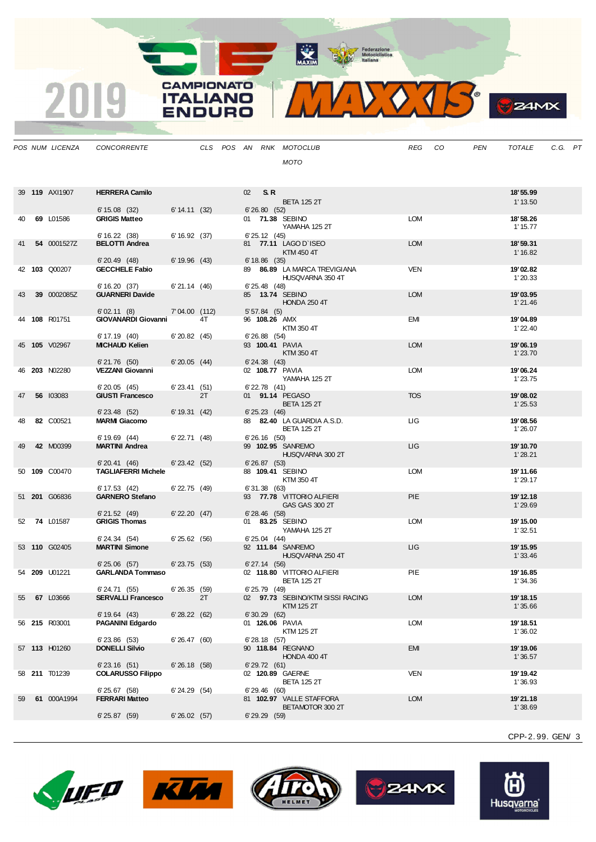MAXIM Pederazione

CAMPIONATO

**ITALIANO** 

**ENDURO** 

2019

MIDOJS

**B**Z4MX

|    | POS NUM LICENZA      | <b>CONCORRENTE</b>                        |                   |    |                 |                   | CLS POS AN RNK MOTOCLUB                          | REG        | CO | <b>PEN</b> | TOTALE               | C.G. PT |  |
|----|----------------------|-------------------------------------------|-------------------|----|-----------------|-------------------|--------------------------------------------------|------------|----|------------|----------------------|---------|--|
|    |                      |                                           |                   |    |                 |                   | MOTO                                             |            |    |            |                      |         |  |
|    |                      |                                           |                   |    |                 |                   |                                                  |            |    |            |                      |         |  |
|    | 39 119 AXI1907       | <b>HERRERA Camilo</b>                     |                   |    | 02 <sub>2</sub> | S.R.              |                                                  |            |    |            | 18' 55.99            |         |  |
|    |                      | 6' 15.08 (32)                             | 6' 14.11 (32)     |    |                 | 6'26.80(52)       | <b>BETA 125 2T</b>                               |            |    |            | 1' 13.50             |         |  |
| 40 | 69 L01586            | <b>GRIGIS Matteo</b>                      |                   |    |                 |                   | 01 71.38 SEBINO                                  | LOM        |    |            | 18'58.26             |         |  |
|    |                      | 6'16.22(38)                               | 6' 16.92 (37)     |    |                 | 6' 25.12 (45)     | YAMAHA 125 2T                                    |            |    |            | 1' 15.77             |         |  |
| 41 | 54 0001527Z          | <b>BELOTTI Andrea</b>                     |                   |    |                 |                   | 81 77.11 LAGO D'ISEO                             | <b>LOM</b> |    |            | 18'59.31             |         |  |
|    |                      | $6'$ 20.49 $(48)$                         | 6' 19.96 (43)     |    |                 | $6'18.86$ (35)    | KTM 450 4T                                       |            |    |            | 1' 16.82             |         |  |
|    | 42 103 Q00207        | <b>GECCHELE Fabio</b>                     |                   |    |                 |                   | 89 86.89 LA MARCA TREVIGIANA<br>HUSQVARNA 350 4T | <b>VEN</b> |    |            | 19'02.82<br>1'20.33  |         |  |
|    |                      | 6'16.20(37)                               | 6'21.14(46)       |    |                 | $6'$ 25.48 $(48)$ |                                                  |            |    |            |                      |         |  |
| 43 | 39 0002085Z          | <b>GUARNERI Davide</b>                    |                   |    |                 |                   | 85 13.74 SEBINO<br><b>HONDA 250 4T</b>           | <b>LOM</b> |    |            | 19'03.95<br>1'21.46  |         |  |
|    |                      | 6'02.11(8)                                | 7'04.00 (112)     |    |                 | 5'57.84(5)        |                                                  |            |    |            |                      |         |  |
|    | 44 108 R01751        | <b>GIOVANARDI Giovanni</b>                |                   | 4T |                 | 96 108.26 AMX     | KTM 350 4T                                       | EMI        |    |            | 19'04.89<br>1'22.40  |         |  |
|    | 45 105 V02967        | 6' 17.19 (40)<br><b>MICHAUD Kelien</b>    | 6'20.82(45)       |    |                 | $6'$ 26.88 $(54)$ | 93 100.41 PAVIA                                  | <b>LOM</b> |    |            | 19'06.19             |         |  |
|    |                      |                                           |                   |    |                 |                   | KTM 350 4T                                       |            |    |            | 1'23.70              |         |  |
| 46 | <b>203 N02280</b>    | 6'21.76(50)<br><b>VEZZANI Giovanni</b>    | $6'20.05$ (44)    |    |                 | $6'$ 24.38 $(43)$ | 02 108.77 PAVIA                                  | <b>LOM</b> |    |            | 19'06.24             |         |  |
|    |                      |                                           |                   |    |                 |                   | YAMAHA 125 2T                                    |            |    |            | 1'23.75              |         |  |
| 47 | 56 103083            | 6'20.05(45)<br><b>GIUSTI Francesco</b>    | $6'$ 23.41 $(51)$ | 2T |                 | $6'$ 22.78 $(41)$ | 01 91.14 PEGASO                                  | <b>TOS</b> |    |            | 19'08.02             |         |  |
|    |                      | $6'$ 23.48 $(52)$                         | 6' 19.31 (42)     |    |                 | $6' 25.23$ (46)   | <b>BETA 125 2T</b>                               |            |    |            | 1'25.53              |         |  |
| 48 | 82 C00521            | <b>MARMI Giacomo</b>                      |                   |    |                 |                   | 88 82.40 LA GUARDIA A.S.D.                       | <b>LIG</b> |    |            | 19'08.56             |         |  |
|    |                      | 6'19.69(44)                               | $6'$ 22.71 $(48)$ |    |                 | $6'26.16$ (50)    | <b>BETA 125 2T</b>                               |            |    |            | 1'26.07              |         |  |
| 49 | 42 M00399            | <b>MARTINI Andrea</b>                     |                   |    |                 |                   | 99 102.95 SANREMO                                | LIG        |    |            | 19' 10.70            |         |  |
|    |                      | 6'20.41(46)                               | $6'$ 23.42 $(52)$ |    |                 | 6'26.87(53)       | HUSQVARNA 300 2T                                 |            |    |            | 1'28.21              |         |  |
|    | 50 109 C00470        | <b>TAGLIAFERRI Michele</b>                |                   |    |                 |                   | 88 109.41 SEBINO<br>KTM 350 4T                   | <b>LOM</b> |    |            | 19'11.66<br>1'29.17  |         |  |
|    |                      | 6' 17.53 (42)                             | $6'$ 22.75 $(49)$ |    |                 | 6'31.38 (63)      |                                                  |            |    |            |                      |         |  |
|    | 51 201 G06836        | <b>GARNERO Stefano</b>                    |                   |    |                 |                   | 93 77.78 VITTORIO ALFIERI<br>GAS GAS 300 2T      | <b>PIE</b> |    |            | 19' 12.18<br>1'29.69 |         |  |
|    |                      | 6'21.52(49)<br><b>GRIGIS Thomas</b>       | $6'$ 22.20 $(47)$ |    |                 | $6'$ 28.46 $(58)$ |                                                  | <b>LOM</b> |    |            |                      |         |  |
| 52 | <b>74 L01587</b>     |                                           |                   |    |                 |                   | 01 83.25 SEBINO<br>YAMAHA 125 2T                 |            |    |            | 19' 15.00<br>1'32.51 |         |  |
|    | 53 110 G02405        | 6' 24.34 (54)<br><b>MARTINI Simone</b>    | 6'25.62(56)       |    |                 | $6' 25.04$ (44)   | 92 111.84 SANREMO                                | ЦG         |    |            | 19' 15.95            |         |  |
|    |                      |                                           |                   |    |                 |                   | HUSQVARNA 250 4T                                 |            |    |            | 1'33.46              |         |  |
|    | 54 <b>209</b> U01221 | 6'25.06(57)<br><b>GARLANDA Tommaso</b>    | $6'$ 23.75 $(53)$ |    |                 | $6'$ 27.14 $(56)$ | 02 118.80 VITTORIO ALFIERI                       | PIE        |    |            | 19' 16.85            |         |  |
|    |                      |                                           |                   |    |                 |                   | <b>BETA 125 2T</b>                               |            |    |            | 1'34.36              |         |  |
| 55 | 67 L03666            | 6'24.71 (55)<br><b>SERVALLI Francesco</b> | 6'26.35(59)       | 2T |                 | 6' 25.79 (49)     | 02 97.73 SEBINO/KTM SISSI RACING                 | <b>LOM</b> |    |            | 19' 18.15            |         |  |
|    |                      | 6'19.64(43)                               | 6'28.22(62)       |    |                 | 6'30.29(62)       | KTM 125 2T                                       |            |    |            | 1'35.66              |         |  |
|    | 56 215 R03001        | <b>PAGANINI Edgardo</b>                   |                   |    |                 |                   | 01 126.06 PAVIA                                  | <b>LOM</b> |    |            | 19' 18.51            |         |  |
|    |                      | $6'$ 23.86 $(53)$                         | 6'26.47(60)       |    |                 | $6'$ 28.18 $(57)$ | KTM 125 2T                                       |            |    |            | 1'36.02              |         |  |
|    | 57 113 H01260        | <b>DONELLI Silvio</b>                     |                   |    |                 |                   | 90 118.84 REGNANO                                | <b>EMI</b> |    |            | 19' 19.06            |         |  |
|    |                      | 6'23.16(51)                               | 6'26.18(58)       |    |                 | $6'$ 29.72 $(61)$ | HONDA 400 4T                                     |            |    |            | 1'36.57              |         |  |
|    | 58 211 T01239        | <b>COLARUSSO Filippo</b>                  |                   |    |                 |                   | 02 120.89 GAERNE<br><b>BETA 125 2T</b>           | <b>VEN</b> |    |            | 19' 19.42<br>1'36.93 |         |  |
|    |                      | 6'25.67(58)                               | 6' 24.29 (54)     |    |                 | 6'29.46(60)       |                                                  |            |    |            |                      |         |  |
| 59 | 61 000A1994          | <b>FERRARI Matteo</b>                     |                   |    |                 |                   | 81 102.97 VALLE STAFFORA<br>BETAMOTOR 300 2T     | <b>LOM</b> |    |            | 19'21.18<br>1'38.69  |         |  |
|    |                      | 6'25.87(59)                               | 6'26.02(57)       |    |                 | $6'$ 29.29 $(59)$ |                                                  |            |    |            |                      |         |  |
|    |                      |                                           |                   |    |                 |                   |                                                  |            |    |            |                      |         |  |
|    |                      |                                           |                   |    |                 |                   |                                                  |            |    |            | CPP-2.99. GEN/3      |         |  |









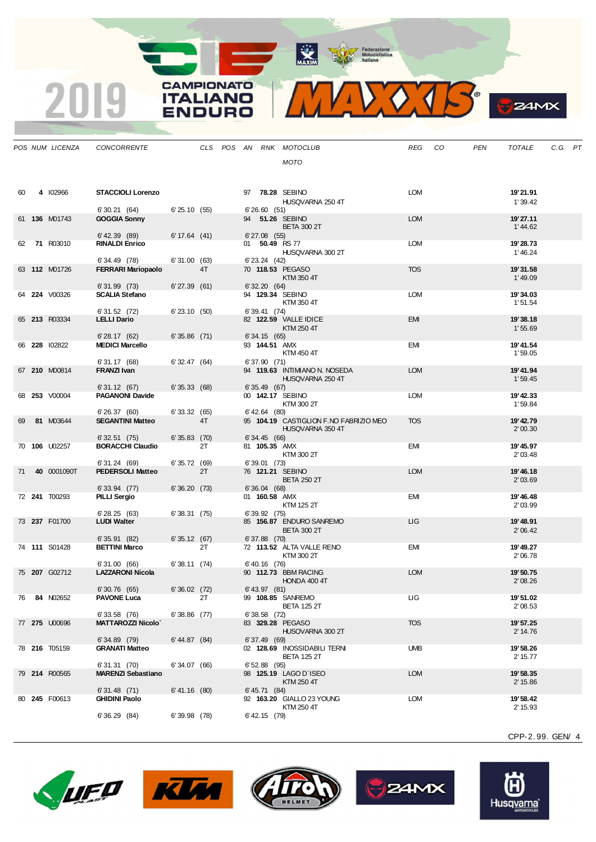MAXIM BAY Federazione

**CAMPIONATO** 

**ITALIANO ENDURO** 

2019



| 40<br>∽ж |
|----------|
|          |

|    | POS NUM LICENZA      | <b>CONCORRENTE</b>                        |                   |    |  |                   | CLS POS AN RNK MOTOCLUB                | REG        | CO | <b>PEN</b> | <b>TOTALE</b>        | C.G. P1 |  |
|----|----------------------|-------------------------------------------|-------------------|----|--|-------------------|----------------------------------------|------------|----|------------|----------------------|---------|--|
|    |                      |                                           |                   |    |  |                   | <b>MOTO</b>                            |            |    |            |                      |         |  |
|    |                      |                                           |                   |    |  |                   |                                        |            |    |            |                      |         |  |
| 60 | 4 102966             | <b>STACCIOLI Lorenzo</b>                  |                   |    |  |                   | 97 78.28 SEBINO                        | <b>LOM</b> |    |            | 19'21.91             |         |  |
|    |                      |                                           |                   |    |  |                   | HUSQVARNA 250 4T                       |            |    |            | 1'39.42              |         |  |
|    |                      | 6'30.21(64)                               | 6'25.10(55)       |    |  | 6'26.60(51)       |                                        |            |    |            |                      |         |  |
|    | 61 136 M01743        | <b>GOGGIA Sonny</b>                       |                   |    |  |                   | 94 51.26 SEBINO<br><b>BETA 300 2T</b>  | <b>LOM</b> |    |            | 19'27.11<br>1' 44.62 |         |  |
|    |                      | $6'$ 42.39 $(89)$                         | 6' 17.64 (41)     |    |  | $6'27.08$ (55)    |                                        |            |    |            |                      |         |  |
|    | 62 71 R03010         | <b>RINALDI Enrico</b>                     |                   |    |  | 01 50.49 RS 77    | HUSQVARNA 300 2T                       | <b>LOM</b> |    |            | 19'28.73<br>1'46.24  |         |  |
|    |                      | 6'34.49 (78)                              | 6'31.00(63)       |    |  | $6'$ 23.24 $(42)$ |                                        |            |    |            |                      |         |  |
|    | 63 112 M01726        | <b>FERRARI Mariopaolo</b>                 |                   | 4T |  |                   | 70 118.53 PEGASO<br>KTM 350 4T         | <b>TOS</b> |    |            | 19'31.58<br>1'49.09  |         |  |
|    |                      | 6'31.99 (73)                              | $6'$ 27.39 $(61)$ |    |  | 6'32.20(64)       |                                        |            |    |            |                      |         |  |
|    | 64 <b>224</b> V00326 | <b>SCALIA Stefano</b>                     |                   |    |  |                   | 94 129.34 SEBINO<br>KTM 350 4T         | <b>LOM</b> |    |            | 19'34.03<br>1'51.54  |         |  |
|    |                      | 6'31.52 (72)                              | $6'$ 23.10 $(50)$ |    |  | 6'39.41(74)       |                                        |            |    |            |                      |         |  |
|    | 65 213 R03334        | <b>LELLI Dario</b>                        |                   |    |  |                   | 82 122.59 VALLE IDICE<br>KTM 250 4T    | <b>EMI</b> |    |            | 19'38.18<br>1'55.69  |         |  |
|    |                      | 6'28.17(62)                               | $6'35.86$ (71)    |    |  | 6'34.15(65)       |                                        |            |    |            |                      |         |  |
|    | 66 228 102822        | <b>MEDICI Marcello</b>                    |                   |    |  | 93 144.51 AMX     |                                        | <b>EMI</b> |    |            | 19' 41.54            |         |  |
|    |                      | 6'31.17 (68)                              | 6'32.47(64)       |    |  | 6'37.90(71)       | KTM 450 4T                             |            |    |            | 1'59.05              |         |  |
|    | 67 210 M00814        | <b>FRANZI Ivan</b>                        |                   |    |  |                   | 94 119.63 INTIMIANO N. NOSEDA          | <b>LOM</b> |    |            | 19' 41.94            |         |  |
|    |                      | 6'31.12(67)                               | 6'35.33(68)       |    |  | 6'35.49(67)       | HUSQVARNA 250 4T                       |            |    |            | 1'59.45              |         |  |
|    | 68 253 V00004        | <b>PAGANONI Davide</b>                    |                   |    |  |                   | 00 142.17 SEBINO                       | <b>LOM</b> |    |            | 19' 42.33            |         |  |
|    |                      | 6'26.37(60)                               | 6'33.32(65)       |    |  | $6'$ 42.64 $(80)$ | KTM 300 2T                             |            |    |            | 1'59.84              |         |  |
| 69 | 81 M03644            | <b>SEGANTINI Matteo</b>                   |                   | 4T |  |                   | 95 104.19 CASTIGLION F.NO FABRIZIO MEO | <b>TOS</b> |    |            | 19' 42.79            |         |  |
|    |                      | 6'32.51(75)                               | $6'35.83$ (70)    |    |  | 6'34.45(66)       | HUSQVARNA 350 4T                       |            |    |            | 2'00.30              |         |  |
|    | 70 106 U02257        | <b>BORACCHI Claudio</b>                   |                   | 2T |  | 81 105.35 AMX     |                                        | <b>EMI</b> |    |            | 19' 45.97            |         |  |
|    |                      | 6'31.24 (69)                              | 6'35.72(69)       |    |  | 6'39.01(73)       | KTM 300 2T                             |            |    |            | 2' 03.48             |         |  |
| 71 | 40 0001090T          | <b>PEDERSOLI Matteo</b>                   |                   | 2T |  |                   | 76 121.21 SEBINO                       | <b>LOM</b> |    |            | 19' 46.18            |         |  |
|    |                      | $6'33.94$ (77)                            | 6'36.20(73)       |    |  | 6'36.04(68)       | <b>BETA 250 2T</b>                     |            |    |            | 2'03.69              |         |  |
|    | 72 241 T00293        | PILLI Sergio                              |                   |    |  | 01 160.58 AMX     |                                        | <b>EMI</b> |    |            | 19' 46.48            |         |  |
|    |                      | 6'28.25(63)                               | 6'38.31(75)       |    |  | 6'39.92(75)       | KTM 125 2T                             |            |    |            | 2'03.99              |         |  |
|    | 73 237 F01700        | <b>LUDI Walter</b>                        |                   |    |  |                   | 85 156.87 ENDURO SANREMO               | LIG        |    |            | 19'48.91             |         |  |
|    |                      |                                           |                   |    |  |                   | <b>BETA 300 2T</b>                     |            |    |            | 2'06.42              |         |  |
|    | 74 111 S01428        | 6'35.91(82)<br><b>BETTINI Marco</b>       | 6'35.12(67)       | 2T |  | $6'37.88$ (70)    | 72 113.52 ALTA VALLE RENO              | <b>EMI</b> |    |            | 19' 49.27            |         |  |
|    |                      |                                           |                   |    |  |                   | KTM 300 2T                             |            |    |            | 2'06.78              |         |  |
|    | 75 207 G02712        | 6'31.00(66)<br><b>LAZZARONI Nicola</b>    | 6'38.11(74)       |    |  | 6' 40.16 (76)     | 90 112.73 BBM RACING                   | <b>LOM</b> |    |            | 19'50.75             |         |  |
|    |                      |                                           |                   |    |  |                   | HONDA 400 4T                           |            |    |            | 2'08.26              |         |  |
| 76 | 84 N02652            | 6' 30.76 (65)<br><b>PAVONE Luca</b>       | 6'36.02 (72)      | 2T |  | 6' 43.97 (81)     | 99 108.85 SANREMO                      | ЦG         |    |            | 19'51.02             |         |  |
|    |                      |                                           |                   |    |  |                   | <b>BETA 125 2T</b>                     |            |    |            | 2'08.53              |         |  |
|    | 77 275 U00696        | 6'33.58 (76)<br><b>MATTAROZZI Nicolo</b>  | $6'38.86$ (77)    |    |  | $6'38.58$ (72)    | 83 329.28 PEGASO                       | <b>TOS</b> |    |            | 19' 57.25            |         |  |
|    |                      |                                           |                   |    |  |                   | HUSQVARNA 300 2T                       |            |    |            | 2' 14.76             |         |  |
|    | 78 216 T05159        | 6'34.89(79)<br><b>GRANATI Matteo</b>      | 6' 44.87 (84)     |    |  | 6'37.49(69)       | 02 128.69 INOSSIDABILI TERNI           | <b>UMB</b> |    |            | 19' 58.26            |         |  |
|    |                      |                                           |                   |    |  |                   | <b>BETA 125 2T</b>                     |            |    |            | 2' 15.77             |         |  |
|    | 79 214 R00565        | 6'31.31 (70)<br><b>MARENZI Sebastiano</b> | 6'34.07(66)       |    |  | $6'52.88$ (95)    | 98 125.19 LAGO D'ISEO                  | <b>LOM</b> |    |            | 19' 58.35            |         |  |
|    |                      |                                           |                   |    |  |                   | KTM 250 4T                             |            |    |            | 2' 15.86             |         |  |
|    | 80 245 F00613        | $6'31.48$ (71)<br><b>GHIDINI Paolo</b>    | $6' 41.16$ (80)   |    |  | 6' 45.71 (84)     | 92 163.20 GIALLO 23 YOUNG              | <b>LOM</b> |    |            | 19' 58.42            |         |  |
|    |                      |                                           |                   |    |  |                   | KTM 250 4T                             |            |    |            | 2' 15.93             |         |  |
|    |                      | 6'36.29(84)                               | 6'39.98(78)       |    |  | 6' 42.15 (79)     |                                        |            |    |            |                      |         |  |
|    |                      |                                           |                   |    |  |                   |                                        |            |    |            |                      |         |  |

**LIFO KUM** 







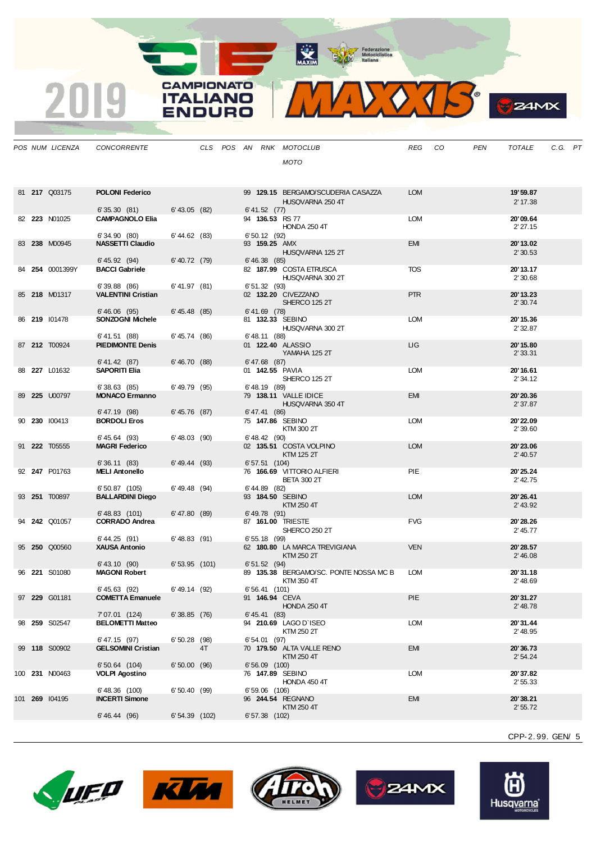MAXIM BOOR Motociclistica



**B**<sub>z</sub>amx

|  | POS NUM LICENZA | <b>CONCORRENTE</b>                        |                 |    |  |                   | CLS POS AN RNK MOTOCLUB                          | REG        | CO | <b>PEN</b> | <b>TOTALE</b>        | C.G. PT |  |
|--|-----------------|-------------------------------------------|-----------------|----|--|-------------------|--------------------------------------------------|------------|----|------------|----------------------|---------|--|
|  |                 |                                           |                 |    |  |                   | <b>MOTO</b>                                      |            |    |            |                      |         |  |
|  |                 |                                           |                 |    |  |                   |                                                  |            |    |            |                      |         |  |
|  | 81 217 Q03175   | <b>POLONI Federico</b>                    |                 |    |  |                   | 99 129.15 BERGAMO/SCUDERIA CASAZZA               | <b>LOM</b> |    |            | 19' 59.87            |         |  |
|  |                 |                                           |                 |    |  |                   | HUSQVARNA 250 4T                                 |            |    |            | 2' 17.38             |         |  |
|  |                 | 6'35.30(81)                               | $6'$ 43.05 (82) |    |  | 6' 41.52 (77)     |                                                  |            |    |            |                      |         |  |
|  | 82 223 N01025   | <b>CAMPAGNOLO Elia</b>                    |                 |    |  |                   | 94 136.53 RS 77<br><b>HONDA 250 4T</b>           | LOM        |    |            | 20'09.64<br>2'27.15  |         |  |
|  |                 | 6'34.90(80)                               | 6' 44.62 (83)   |    |  | 6'50.12(92)       |                                                  |            |    |            |                      |         |  |
|  | 83 238 M00945   | <b>NASSETTI Claudio</b>                   |                 |    |  |                   | 93 159.25 AMX                                    | <b>EMI</b> |    |            | 20'13.02             |         |  |
|  |                 | 6' 45.92 (94)                             | $6' 40.72$ (79) |    |  | $6' 46.38$ (85)   | HUSQVARNA 125 2T                                 |            |    |            | 2'30.53              |         |  |
|  | 84 254 0001399Y | <b>BACCI Gabriele</b>                     |                 |    |  |                   | 82 187.99 COSTA ETRUSCA                          | <b>TOS</b> |    |            | 20' 13.17            |         |  |
|  |                 | 6'39.88(86)                               | 6' 41.97 (81)   |    |  | 6'51.32(93)       | HUSQVARNA 300 2T                                 |            |    |            | 2'30.68              |         |  |
|  | 85 218 M01317   | <b>VALENTINI Cristian</b>                 |                 |    |  |                   | 02 132.20 CIVEZZANO                              | <b>PTR</b> |    |            | 20'13.23             |         |  |
|  |                 |                                           | 6' 45.48 (85)   |    |  | $6' 41.69$ (78)   | SHERCO 125 2T                                    |            |    |            | 2'30.74              |         |  |
|  | 86 219 101478   | 6'46.06(95)<br><b>SONZOGNI Michele</b>    |                 |    |  |                   | 81 132.33 SEBINO                                 | <b>LOM</b> |    |            | 20' 15.36            |         |  |
|  |                 |                                           |                 |    |  |                   | HUSQVARNA 300 2T                                 |            |    |            | 2' 32.87             |         |  |
|  | 87 212 T00924   | 6'41.51(88)<br><b>PIEDIMONTE Denis</b>    | 6' 45.74 (86)   |    |  | $6'$ 48.11 $(88)$ | 01 122.40 ALASSIO                                | <b>LIG</b> |    |            | 20' 15.80            |         |  |
|  |                 |                                           |                 |    |  |                   | YAMAHA 125 2T                                    |            |    |            | 2'33.31              |         |  |
|  | 88 227 L01632   | 6' 41.42 (87)<br><b>SAPORITI Elia</b>     | 6'46.70(88)     |    |  | $6' 47.68$ (87)   | 01 142.55 PAVIA                                  | <b>LOM</b> |    |            | 20' 16.61            |         |  |
|  |                 |                                           |                 |    |  |                   | SHERCO 125 2T                                    |            |    |            | 2'34.12              |         |  |
|  |                 | 6'38.63(85)                               | 6'49.79 (95)    |    |  | $6'$ 48.19 $(89)$ | 79 138.11 VALLE IDICE                            |            |    |            | 20'20.36             |         |  |
|  | 89 225 U00797   | <b>MONACO Ermanno</b>                     |                 |    |  |                   | HUSQVARNA 350 4T                                 | <b>EMI</b> |    |            | 2'37.87              |         |  |
|  |                 | $6' 47.19$ (98)                           | 6' 45.76 (87)   |    |  | 6' 47.41 (86)     |                                                  |            |    |            |                      |         |  |
|  | 90 230 100413   | <b>BORDOLI Eros</b>                       |                 |    |  |                   | 75 147.86 SEBINO<br>KTM 300 2T                   | <b>LOM</b> |    |            | 20'22.09<br>2' 39.60 |         |  |
|  |                 | $6' 45.64$ (93)                           | 6'48.03(90)     |    |  | $6'$ 48.42 (90)   |                                                  |            |    |            |                      |         |  |
|  | 91 222 T05555   | <b>MAGRI Federico</b>                     |                 |    |  |                   | 02 135.51 COSTA VOLPINO<br>KTM 125 2T            | <b>LOM</b> |    |            | 20'23.06<br>2' 40.57 |         |  |
|  |                 | 6'36.11(83)                               | 6' 49.44 (93)   |    |  | $6'57.51$ (104)   |                                                  |            |    |            |                      |         |  |
|  | 92 247 P01763   | <b>MELI Antonello</b>                     |                 |    |  |                   | 76 166.69 VITTORIO ALFIERI<br><b>BETA 300 2T</b> | <b>PIE</b> |    |            | 20'25.24<br>2' 42.75 |         |  |
|  |                 | $6'50.87$ (105)                           | $6' 49.48$ (94) |    |  | 6' 44.89 (82)     |                                                  |            |    |            |                      |         |  |
|  | 93 251 T00897   | <b>BALLARDINI Diego</b>                   |                 |    |  |                   | 93 184.50 SEBINO<br>KTM 250 4T                   | <b>LOM</b> |    |            | 20'26.41<br>2' 43.92 |         |  |
|  |                 | $6'$ 48.83 $(101)$                        | 6' 47.80 (89)   |    |  | $6'$ 49.78 $(91)$ |                                                  |            |    |            |                      |         |  |
|  | 94 242 Q01057   | <b>CORRADO Andrea</b>                     |                 |    |  |                   | 87 161.00 TRIESTE                                | <b>FVG</b> |    |            | 20'28.26             |         |  |
|  |                 | 6' 44.25 (91)                             | $6'$ 48.83 (91) |    |  | $6'55.18$ (99)    | SHERCO 250 2T                                    |            |    |            | 2' 45.77             |         |  |
|  | 95 250 Q00560   | <b>XAUSA Antonio</b>                      |                 |    |  |                   | 62 180.80 LA MARCA TREVIGIANA                    | <b>VEN</b> |    |            | 20'28.57             |         |  |
|  |                 | 6' 43.10 (90)                             | $6'53.95$ (101) |    |  | 6' 51.52 (94)     | KTM 250 2T                                       |            |    |            | 2'46.08              |         |  |
|  | 96 221 S01080   | <b>MAGONI Robert</b>                      |                 |    |  |                   | 89 135.38 BERGAMO/SC. PONTE NOSSA MC B           | <b>LOM</b> |    |            | 20'31.18             |         |  |
|  |                 | 6' 45.63 (92)                             | 6'49.14 (92)    |    |  | 6'56.41 (101)     | KTM 350 4T                                       |            |    |            | 2' 48.69             |         |  |
|  | 97 229 G01181   | <b>COMETTA Emanuele</b>                   |                 |    |  |                   | 91 146.94 CEVA                                   | PIE        |    |            | 20'31.27             |         |  |
|  |                 |                                           |                 |    |  |                   | <b>HONDA 250 4T</b>                              |            |    |            | 2' 48.78             |         |  |
|  | 98 259 S02547   | 7'07.01 (124)<br><b>BELOMETTI Matteo</b>  | 6'38.85(76)     |    |  | 6' 45.41 (83)     | 94 210.69 LAGO D'ISEO                            | <b>LOM</b> |    |            | 20'31.44             |         |  |
|  |                 |                                           |                 |    |  |                   | KTM 250 2T                                       |            |    |            | 2' 48.95             |         |  |
|  | 99 118 S00902   | 6'47.15 (97)<br><b>GELSOMINI Cristian</b> | $6'50.28$ (98)  | 4T |  | 6'54.01 (97)      | 70 179.50 ALTA VALLE RENO                        | <b>EMI</b> |    |            | 20'36.73             |         |  |
|  |                 |                                           |                 |    |  |                   | KTM 250 4T                                       |            |    |            | 2'54.24              |         |  |
|  | 100 231 N00463  | $6'50.64$ (104)<br><b>VOLPI Agostino</b>  | 6'50.00(96)     |    |  | $6'56.09$ (100)   | 76 147.89 SEBINO                                 | <b>LOM</b> |    |            | 20'37.82             |         |  |
|  |                 |                                           |                 |    |  |                   | HONDA 450 4T                                     |            |    |            | 2'55.33              |         |  |
|  |                 | 6'48.36 (100)                             | 6'50.40(99)     |    |  | 6'59.06 (106)     |                                                  |            |    |            |                      |         |  |
|  | 101 269 104195  | <b>INCERTI Simone</b>                     |                 |    |  |                   | 96 244.54 REGNANO<br>KTM 250 4T                  | <b>EMI</b> |    |            | 20'38.21<br>2'55.72  |         |  |
|  |                 | 6' 46.44 (96)                             | 6' 54.39 (102)  |    |  | 6'57.38 (102)     |                                                  |            |    |            |                      |         |  |
|  |                 |                                           |                 |    |  |                   |                                                  |            |    |            |                      |         |  |

**CAMPIONATO** 

**ITALIANO** 

**ENDURO** 

2019









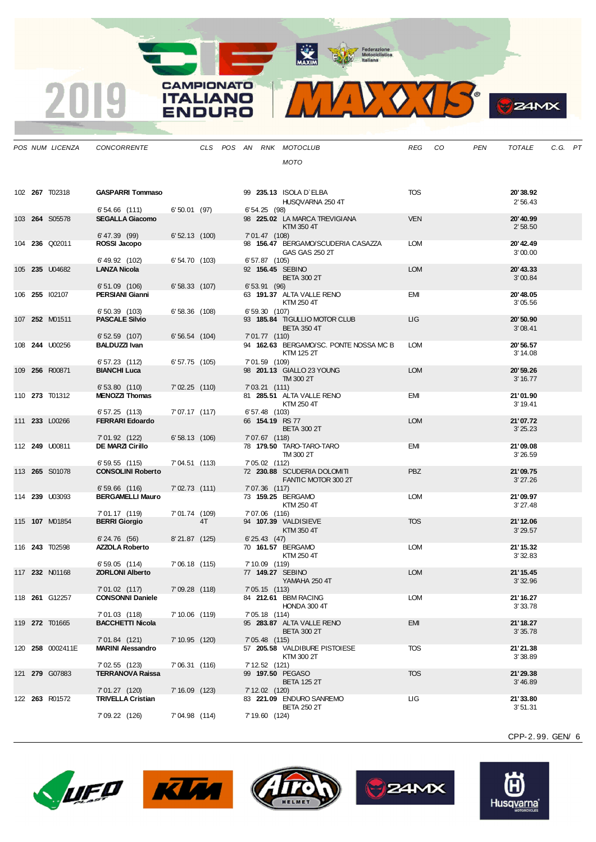MAXIM Representation



|  | POS NUM LICENZA       | <b>CONCORRENTE</b>                         |                 |    |  |                  | CLS POS AN RNK MOTOCLUB                     | REG        | CO. | PEN | TOTALE               | C.G. PT |  |
|--|-----------------------|--------------------------------------------|-----------------|----|--|------------------|---------------------------------------------|------------|-----|-----|----------------------|---------|--|
|  |                       |                                            |                 |    |  |                  | MOTO                                        |            |     |     |                      |         |  |
|  |                       |                                            |                 |    |  |                  |                                             |            |     |     |                      |         |  |
|  |                       |                                            |                 |    |  |                  |                                             |            |     |     |                      |         |  |
|  | 102 267 T02318        | <b>GASPARRI Tommaso</b>                    |                 |    |  |                  | 99 235.13 ISOLA D'ELBA                      | <b>TOS</b> |     |     | 20'38.92             |         |  |
|  |                       | $6'54.66$ (111)                            | 6'50.01(97)     |    |  | $6'54.25$ (98)   | HUSQVARNA 250 4T                            |            |     |     | 2'56.43              |         |  |
|  | 103 264 S05578        | <b>SEGALLA Giacomo</b>                     |                 |    |  |                  | 98 225.02 LA MARCA TREVIGIANA               | <b>VEN</b> |     |     | 20' 40.99            |         |  |
|  |                       |                                            |                 |    |  |                  | KTM 350 4T                                  |            |     |     | 2'58.50              |         |  |
|  | 104 236 Q02011        | $6' 47.39$ (99)<br>ROSSI Jacopo            | $6'52.13$ (100) |    |  | 7'01.47 (108)    | 98 156.47 BERGAMO/SCUDERIA CASAZZA          | LOM        |     |     | 20' 42.49            |         |  |
|  |                       |                                            |                 |    |  |                  | GAS GAS 250 2T                              |            |     |     | 3'00.00              |         |  |
|  |                       | 6' 49.92 (102)                             | 6'54.70(103)    |    |  | 6'57.87(105)     |                                             |            |     |     |                      |         |  |
|  | 105 235 U04682        | <b>LANZA Nicola</b>                        |                 |    |  |                  | 92 156.45 SEBINO<br><b>BETA 300 2T</b>      | <b>LOM</b> |     |     | 20'43.33<br>3'00.84  |         |  |
|  |                       | $6'51.09$ (106)                            | $6'58.33$ (107) |    |  | 6' 53.91 (96)    |                                             |            |     |     |                      |         |  |
|  | 106 255 102107        | PERSIANI Gianni                            |                 |    |  |                  | 63 191.37 ALTA VALLE RENO<br>KTM 250 4T     | <b>EMI</b> |     |     | 20'48.05             |         |  |
|  |                       | 6'50.39(103)                               | $6'58.36$ (108) |    |  | 6'59.30(107)     |                                             |            |     |     | 3'05.56              |         |  |
|  | 107 252 M01511        | <b>PASCALE Silvio</b>                      |                 |    |  |                  | 93 185.84 TIGULLIO MOTOR CLUB               | ЦG         |     |     | 20'50.90             |         |  |
|  |                       | $6'52.59$ (107)                            | 6'56.54(104)    |    |  | 7'01.77 (110)    | <b>BETA 350 4T</b>                          |            |     |     | 3'08.41              |         |  |
|  | 108 <b>244 U00256</b> | <b>BALDUZZI Ivan</b>                       |                 |    |  |                  | 94 162.63 BERGAMO/SC. PONTE NOSSA MC B      | <b>LOM</b> |     |     | 20'56.57             |         |  |
|  |                       |                                            |                 |    |  |                  | KTM 125 2T                                  |            |     |     | 3' 14.08             |         |  |
|  | 109 256 R00871        | 6' 57.23 (112)<br><b>BIANCHI Luca</b>      | $6'57.75$ (105) |    |  | 7'01.59 (109)    | 98 201.13 GIALLO 23 YOUNG                   | <b>LOM</b> |     |     | 20' 59.26            |         |  |
|  |                       |                                            |                 |    |  |                  | TM 300 2T                                   |            |     |     | 3' 16.77             |         |  |
|  |                       | 6'53.80(110)                               | 7'02.25 (110)   |    |  | 7' 03.21 (111)   |                                             |            |     |     |                      |         |  |
|  | 110 273 T01312        | <b>MENOZZI Thomas</b>                      |                 |    |  |                  | 81 285.51 ALTA VALLE RENO<br>KTM 250 4T     | <b>EMI</b> |     |     | 21'01.90<br>3' 19.41 |         |  |
|  |                       | 6'57.25(113)                               | 7'07.17 (117)   |    |  | 6' 57.48 (103)   |                                             |            |     |     |                      |         |  |
|  | 111 233 L00266        | <b>FERRARI Edoardo</b>                     |                 |    |  |                  | 66 154.19 RS 77<br><b>BETA 300 2T</b>       | <b>LOM</b> |     |     | 21'07.72<br>3'25.23  |         |  |
|  |                       | 7'01.92 (122)                              | 6'58.13(106)    |    |  | 7'07.67 (118)    |                                             |            |     |     |                      |         |  |
|  | 112 <b>249</b> U00811 | <b>DE MARZI Cirillo</b>                    |                 |    |  |                  | 78 179.50 TARO-TARO-TARO                    | EMI        |     |     | 21'09.08             |         |  |
|  |                       | 6'59.55(115)                               | 7'04.51 (113)   |    |  | 7' 05.02 (112)   | TM 300 2T                                   |            |     |     | 3'26.59              |         |  |
|  | 113 265 S01078        | <b>CONSOLINI Roberto</b>                   |                 |    |  |                  | 72 230.88 SCUDERIA DOLOMITI                 | <b>PBZ</b> |     |     | 21'09.75             |         |  |
|  |                       |                                            |                 |    |  |                  | FANTIC MOTOR 300 2T                         |            |     |     | 3'27.26              |         |  |
|  | 114 239 U03093        | $6'59.66$ (116)<br><b>BERGAMELLI Mauro</b> | $7'02.73$ (111) |    |  | 7'07.36 (117)    | 73 159.25 BERGAMO                           | <b>LOM</b> |     |     | 21'09.97             |         |  |
|  |                       |                                            |                 |    |  |                  | KTM 250 4T                                  |            |     |     | 3'27.48              |         |  |
|  |                       | 7'01.17 (119)                              | 7'01.74 (109)   |    |  | 7'07.06 (116)    |                                             |            |     |     |                      |         |  |
|  | 115 <b>107</b> M01854 | <b>BERRI Giorgio</b>                       |                 | 4T |  |                  | 94 107.39 VALDISIEVE<br>KTM 350 4T          | <b>TOS</b> |     |     | 21'12.06<br>3'29.57  |         |  |
|  |                       | 6'24.76(56)                                | 8'21.87 (125)   |    |  | 6' 25.43 (47)    |                                             |            |     |     |                      |         |  |
|  | 116 243 T02598        | <b>AZZOLA Roberto</b>                      |                 |    |  |                  | 70 161.57 BERGAMO<br>KTM 250 4T             | LOM        |     |     | 21' 15.32<br>3'32.83 |         |  |
|  |                       | 6'59.05(114)                               | 7'06.18 (115)   |    |  | 7' 10.09 (119)   |                                             |            |     |     |                      |         |  |
|  | 117 232 N01168        | <b>ZORLONI Alberto</b>                     |                 |    |  |                  | 77 149.27 SEBINO                            | <b>LOM</b> |     |     | 21' 15.45            |         |  |
|  |                       | 7'01.02 (117)                              | 7'09.28 (118)   |    |  | 7'05.15(113)     | YAMAHA 250 4T                               |            |     |     | 3' 32.96             |         |  |
|  | 118 <b>261</b> G12257 | <b>CONSONNI Daniele</b>                    |                 |    |  |                  | 84 212.61 BBM RACING                        | <b>LOM</b> |     |     | 21'16.27             |         |  |
|  |                       |                                            |                 |    |  |                  | HONDA 300 4T                                |            |     |     | 3'33.78              |         |  |
|  | 119 272 T01665        | 7'01.03 (118)<br><b>BACCHETTI Nicola</b>   | 7' 10.06 (119)  |    |  | 7' 05.18 (114)   | 95 283.87 ALTA VALLE RENO                   | <b>EMI</b> |     |     | 21'18.27             |         |  |
|  |                       |                                            |                 |    |  |                  | <b>BETA 300 2T</b>                          |            |     |     | 3'35.78              |         |  |
|  |                       | 7'01.84 (121)                              | 7' 10.95 (120)  |    |  | $7'05.48$ (115)  |                                             |            |     |     |                      |         |  |
|  | 120 258 0002411E      | <b>MARINI Alessandro</b>                   |                 |    |  |                  | 57 205.58 VALDIBURE PISTOIESE<br>KTM 300 2T | <b>TOS</b> |     |     | 21'21.38<br>3'38.89  |         |  |
|  |                       | 7'02.55 (123)                              | 7'06.31 (116)   |    |  | 7' 12.52 (121)   |                                             |            |     |     |                      |         |  |
|  | 121 279 G07883        | <b>TERRANOVA Raissa</b>                    |                 |    |  |                  | 99 197.50 PEGASO<br><b>BETA 125 2T</b>      | <b>TOS</b> |     |     | 21'29.38<br>3'46.89  |         |  |
|  |                       | 7'01.27 (120)                              | 7' 16.09 (123)  |    |  | $7' 12.02$ (120) |                                             |            |     |     |                      |         |  |
|  | 122 263 R01572        | <b>TRIVELLA Cristian</b>                   |                 |    |  |                  | 83 221.09 ENDURO SANREMO                    | ЦG         |     |     | 21'33.80             |         |  |
|  |                       | 7' 09.22 (126)                             | 7'04.98 (114)   |    |  | 7' 19.60 (124)   | <b>BETA 250 2T</b>                          |            |     |     | 3'51.31              |         |  |
|  |                       |                                            |                 |    |  |                  |                                             |            |     |     |                      |         |  |

CPP-2. 99. GEN/ 6

**B**<sub>z</sub>amx





-9

2019

**CAMPIONATO** 

**ITALIANO** 

**ENDURO**